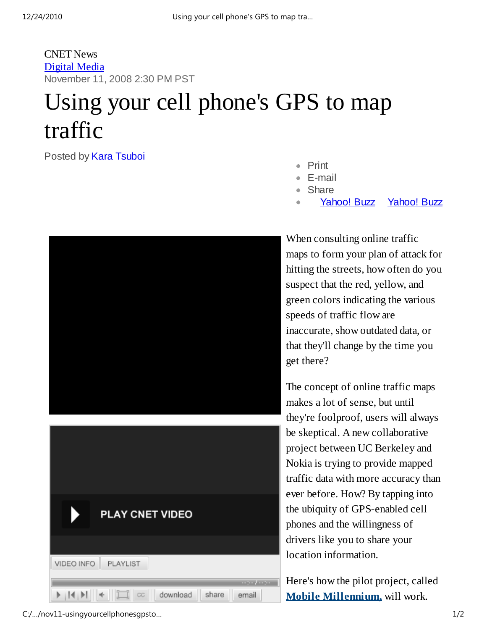## CNET News Digital Media November 11, 2008 2:30 PM PST

## Using your cell phone's GPS to map traffic

Posted by **Kara Tsuboi** 

- Print
- E-mail
- Share
- Yahoo! Buzz Yahoo! Buzz



When consulting online traffic maps to form your plan of attack for hitting the streets, how often do you suspect that the red, yellow, and green colors indicating the various speeds of traffic flow are inaccurate, show outdated data, or that they'll change by the time you get there?

The concept of online traffic maps makes a lot of sense, but until they're foolproof, users will always be skeptical. A new collaborative project between UC Berkeley and Nokia is trying to provide mapped traffic data with more accuracy than ever before. How? By tapping into the ubiquity of GPS-enabled cell phones and the willingness of drivers like you to share your location information.

Here's how the pilot project, called **Mobile Millennium,** will work.

C:/…/nov11-usingyourcellphonesgpsto… 1/2